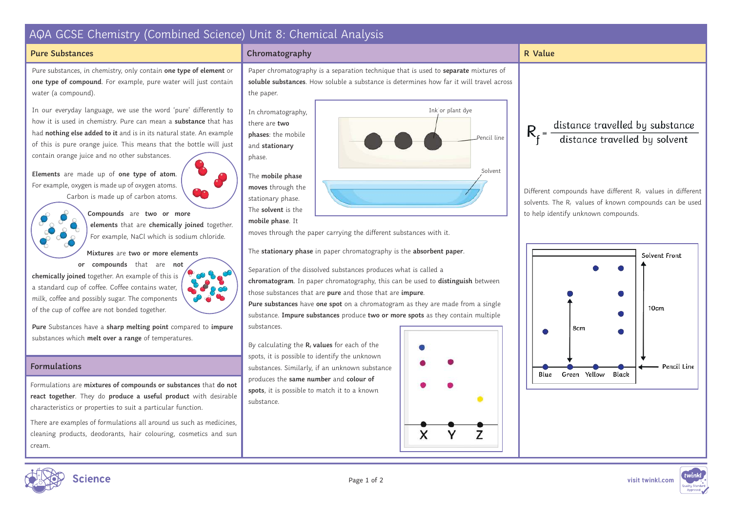

There are examples of formulations all around us such as medicines, cleaning products, deodorants, hair colouring, cosmetics and sun cream.

 $\mathsf{x}$ 

Y

7

Page 1 of 2 **visit twinkl.com**